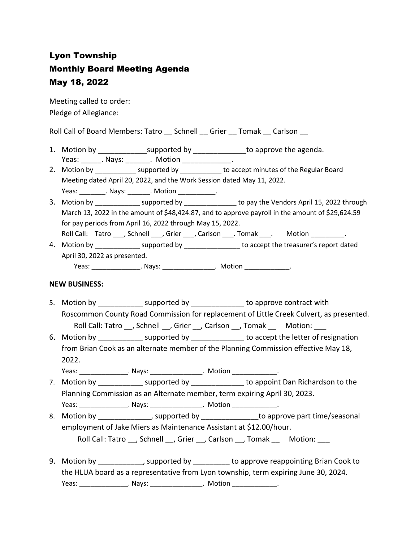## Lyon Township Monthly Board Meeting Agenda May 18, 2022

Meeting called to order: Pledge of Allegiance:

Roll Call of Board Members: Tatro \_\_ Schnell \_\_ Grier \_\_ Tomak \_\_ Carlson \_\_

- 1. Motion by \_\_\_\_\_\_\_\_\_\_\_\_\_\_\_\_supported by \_\_\_\_\_\_\_\_\_\_\_\_\_\_\_\_to approve the agenda. Yeas: Nays: Notion Reas: Notion
- 2. Motion by \_\_\_\_\_\_\_\_\_\_\_\_ supported by \_\_\_\_\_\_\_\_\_\_\_ to accept minutes of the Regular Board Meeting dated April 20, 2022, and the Work Session dated May 11, 2022. Yeas: \_\_\_\_\_\_\_\_\_. Nays: \_\_\_\_\_\_\_. Motion \_\_\_\_\_\_\_\_\_\_\_.
- 3. Motion by \_\_\_\_\_\_\_\_\_\_\_\_\_ supported by \_\_\_\_\_\_\_\_\_\_\_\_\_\_\_\_ to pay the Vendors April 15, 2022 through March 13, 2022 in the amount of \$48,424.87, and to approve payroll in the amount of \$29,624.59 for pay periods from April 16, 2022 through May 15, 2022. Roll Call: Tatro \_\_\_, Schnell \_\_\_, Grier \_\_\_, Carlson \_\_\_. Tomak \_\_\_. Motion \_\_\_\_\_\_\_\_.
- 4. Motion by \_\_\_\_\_\_\_\_\_\_\_\_\_\_\_ supported by \_\_\_\_\_\_\_\_\_\_\_\_\_\_\_\_ to accept the treasurer's report dated April 30, 2022 as presented. Yeas: \_\_\_\_\_\_\_\_\_\_\_\_\_\_\_\_\_. Nays: \_\_\_\_\_\_\_\_\_\_\_\_\_\_\_\_\_. Motion \_\_\_\_\_\_\_\_\_\_\_\_\_\_\_.

## **NEW BUSINESS:**

- 5. Motion by **EXECUTE:** supported by **EXECUTE:** to approve contract with Roscommon County Road Commission for replacement of Little Creek Culvert, as presented. Roll Call: Tatro \_\_, Schnell \_\_, Grier \_\_, Carlson \_\_, Tomak \_\_ Motion: \_\_\_
- 6. Motion by supported by to accept the letter of resignation from Brian Cook as an alternate member of the Planning Commission effective May 18, 2022.
- Yeas: \_\_\_\_\_\_\_\_\_\_\_\_\_\_\_\_\_. Nays: \_\_\_\_\_\_\_\_\_\_\_\_\_\_\_\_\_. Motion \_\_\_\_\_\_\_\_\_\_\_\_\_\_\_. 7. Motion by \_\_\_\_\_\_\_\_\_\_\_\_\_\_ supported by \_\_\_\_\_\_\_\_\_\_\_\_\_\_\_\_ to appoint Dan Richardson to the
- Planning Commission as an Alternate member, term expiring April 30, 2023. Yeas: \_\_\_\_\_\_\_\_\_\_\_\_\_\_\_\_\_. Nays: \_\_\_\_\_\_\_\_\_\_\_\_\_\_\_\_\_. Motion \_\_\_\_\_\_\_\_\_\_\_\_\_\_.
- 8. Motion by example and proported by to approve part time/seasonal employment of Jake Miers as Maintenance Assistant at \$12.00/hour. Roll Call: Tatro , Schnell \_\_, Grier \_\_, Carlson \_\_, Tomak \_\_ Motion: \_\_\_
- 9. Motion by \_\_\_\_\_\_\_\_\_\_\_, supported by \_\_\_\_\_\_\_\_\_ to approve reappointing Brian Cook to the HLUA board as a representative from Lyon township, term expiring June 30, 2024. Yeas: \_\_\_\_\_\_\_\_\_\_\_\_\_\_\_\_. Nays: \_\_\_\_\_\_\_\_\_\_\_\_\_\_\_\_. Motion \_\_\_\_\_\_\_\_\_\_\_\_\_\_.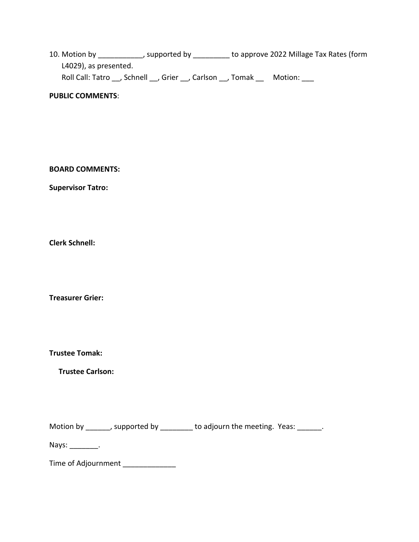10. Motion by \_\_\_\_\_\_\_\_\_\_\_\_, supported by \_\_\_\_\_\_\_\_\_ to approve 2022 Millage Tax Rates (form L4029), as presented. Roll Call: Tatro \_\_, Schnell \_\_, Grier \_\_, Carlson \_\_, Tomak \_\_ Motion: \_\_\_

**PUBLIC COMMENTS**:

**BOARD COMMENTS:** 

**Supervisor Tatro:**

**Clerk Schnell:** 

**Treasurer Grier:**

**Trustee Tomak:**

**Trustee Carlson:**

Motion by \_\_\_\_\_\_, supported by \_\_\_\_\_\_\_\_ to adjourn the meeting. Yeas: \_\_\_\_\_\_.

Nays: the control of the control of the control of the control of the control of the control of the control of the control of the control of the control of the control of the control of the control of the control of the co

Time of Adjournment \_\_\_\_\_\_\_\_\_\_\_\_\_